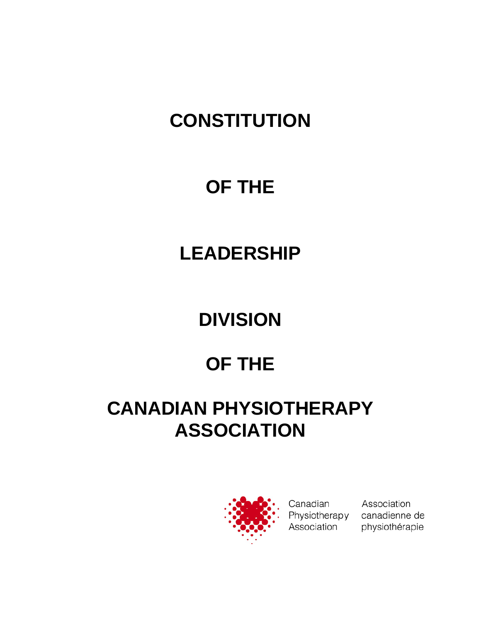# **CONSTITUTION**

## **OF THE**

## **LEADERSHIP**

# **DIVISION**

# **OF THE**

## **CANADIAN PHYSIOTHERAPY ASSOCIATION**



Canadian Physiotherapy Association

Association canadienne de physiothérapie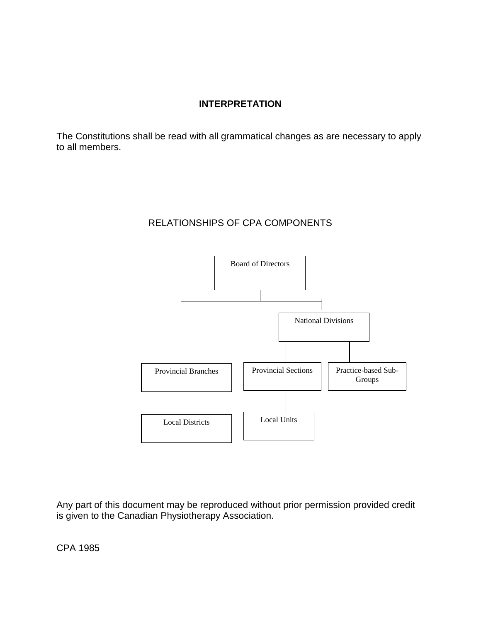#### **INTERPRETATION**

The Constitutions shall be read with all grammatical changes as are necessary to apply to all members.

#### RELATIONSHIPS OF CPA COMPONENTS



Any part of this document may be reproduced without prior permission provided credit is given to the Canadian Physiotherapy Association.

CPA 1985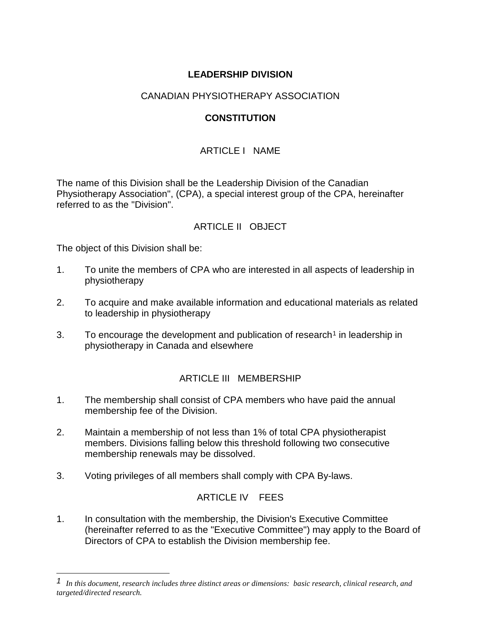## **LEADERSHIP DIVISION**

### CANADIAN PHYSIOTHERAPY ASSOCIATION

## **CONSTITUTION**

## ARTICLE I NAME

The name of this Division shall be the Leadership Division of the Canadian Physiotherapy Association", (CPA), a special interest group of the CPA, hereinafter referred to as the "Division".

## ARTICLE II OBJECT

The object of this Division shall be:

-

- 1. To unite the members of CPA who are interested in all aspects of leadership in physiotherapy
- 2. To acquire and make available information and educational materials as related to leadership in physiotherapy
- 3. To encourage the development and publication of research<sup>[1](#page-2-0)</sup> in leadership in physiotherapy in Canada and elsewhere

#### ARTICLE III MEMBERSHIP

- 1. The membership shall consist of CPA members who have paid the annual membership fee of the Division.
- 2. Maintain a membership of not less than 1% of total CPA physiotherapist members. Divisions falling below this threshold following two consecutive membership renewals may be dissolved.
- 3. Voting privileges of all members shall comply with CPA By-laws.

## ARTICLE IV FEES

1. In consultation with the membership, the Division's Executive Committee (hereinafter referred to as the "Executive Committee") may apply to the Board of Directors of CPA to establish the Division membership fee.

<span id="page-2-0"></span>*<sup>1</sup> In this document, research includes three distinct areas or dimensions: basic research, clinical research, and targeted/directed research.*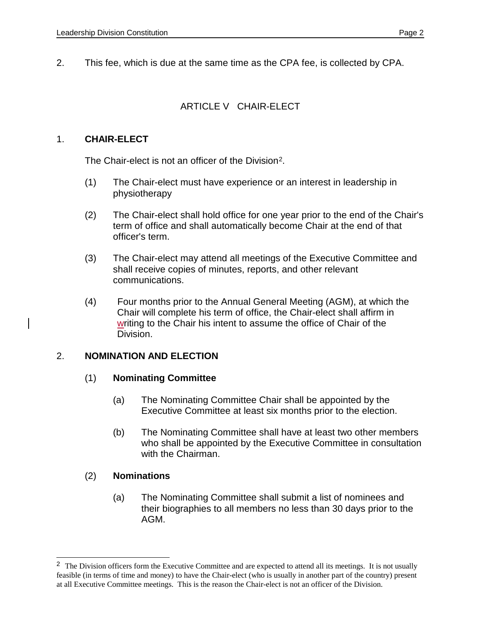2. This fee, which is due at the same time as the CPA fee, is collected by CPA.

## ARTICLE V CHAIR-ELECT

#### 1. **CHAIR-ELECT**

The Chair-elect is not an officer of the Division[2.](#page-3-0)

- (1) The Chair-elect must have experience or an interest in leadership in physiotherapy
- (2) The Chair-elect shall hold office for one year prior to the end of the Chair's term of office and shall automatically become Chair at the end of that officer's term.
- (3) The Chair-elect may attend all meetings of the Executive Committee and shall receive copies of minutes, reports, and other relevant communications.
- (4) Four months prior to the Annual General Meeting (AGM), at which the Chair will complete his term of office, the Chair-elect shall affirm in writing to the Chair his intent to assume the office of Chair of the Division.

#### 2. **NOMINATION AND ELECTION**

#### (1) **Nominating Committee**

- (a) The Nominating Committee Chair shall be appointed by the Executive Committee at least six months prior to the election.
- (b) The Nominating Committee shall have at least two other members who shall be appointed by the Executive Committee in consultation with the Chairman.

## (2) **Nominations**

j

(a) The Nominating Committee shall submit a list of nominees and their biographies to all members no less than 30 days prior to the AGM.

<span id="page-3-0"></span><sup>&</sup>lt;sup>2</sup> The Division officers form the Executive Committee and are expected to attend all its meetings. It is not usually feasible (in terms of time and money) to have the Chair-elect (who is usually in another part of the country) present at all Executive Committee meetings. This is the reason the Chair-elect is not an officer of the Division.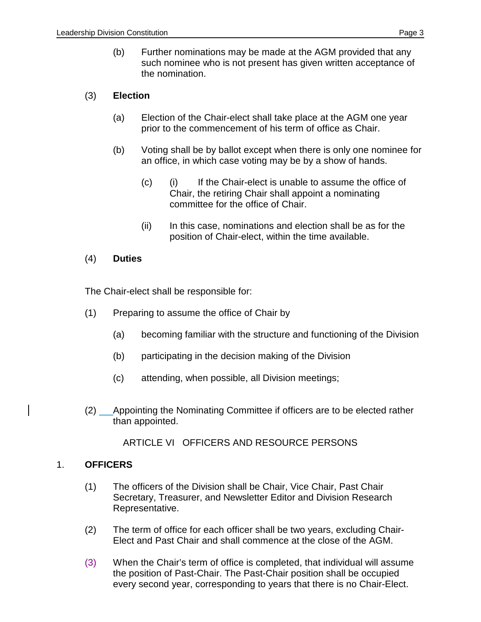(b) Further nominations may be made at the AGM provided that any such nominee who is not present has given written acceptance of the nomination.

#### (3) **Election**

- (a) Election of the Chair-elect shall take place at the AGM one year prior to the commencement of his term of office as Chair.
- (b) Voting shall be by ballot except when there is only one nominee for an office, in which case voting may be by a show of hands.
	- (c) (i) If the Chair-elect is unable to assume the office of Chair, the retiring Chair shall appoint a nominating committee for the office of Chair.
	- (ii) In this case, nominations and election shall be as for the position of Chair-elect, within the time available.

#### (4) **Duties**

The Chair-elect shall be responsible for:

- (1) Preparing to assume the office of Chair by
	- (a) becoming familiar with the structure and functioning of the Division
	- (b) participating in the decision making of the Division
	- (c) attending, when possible, all Division meetings;
- (2) Appointing the Nominating Committee if officers are to be elected rather than appointed.

#### ARTICLE VI OFFICERS AND RESOURCE PERSONS

#### 1. **OFFICERS**

- (1) The officers of the Division shall be Chair, Vice Chair, Past Chair Secretary, Treasurer, and Newsletter Editor and Division Research Representative.
- (2) The term of office for each officer shall be two years, excluding Chair-Elect and Past Chair and shall commence at the close of the AGM.
- (3) When the Chair's term of office is completed, that individual will assume the position of Past-Chair. The Past-Chair position shall be occupied every second year, corresponding to years that there is no Chair-Elect.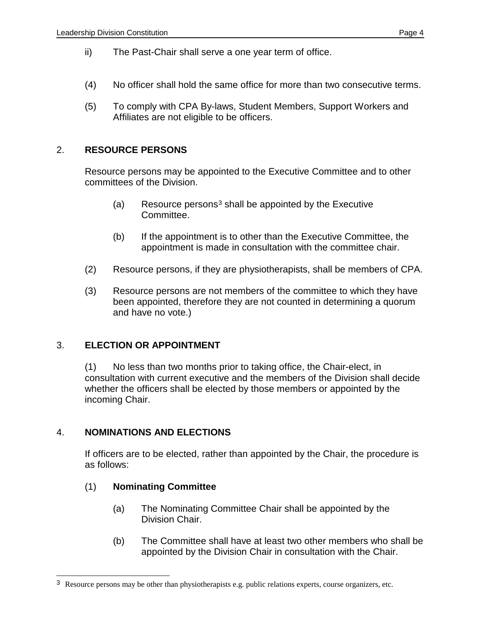- ii) The Past-Chair shall serve a one year term of office.
- (4) No officer shall hold the same office for more than two consecutive terms.
- (5) To comply with CPA By-laws, Student Members, Support Workers and Affiliates are not eligible to be officers.

#### 2. **RESOURCE PERSONS**

Resource persons may be appointed to the Executive Committee and to other committees of the Division.

- (a) Resource persons<sup>[3](#page-5-0)</sup> shall be appointed by the Executive Committee.
- (b) If the appointment is to other than the Executive Committee, the appointment is made in consultation with the committee chair.
- (2) Resource persons, if they are physiotherapists, shall be members of CPA.
- (3) Resource persons are not members of the committee to which they have been appointed, therefore they are not counted in determining a quorum and have no vote.)

#### 3. **ELECTION OR APPOINTMENT**

(1) No less than two months prior to taking office, the Chair-elect, in consultation with current executive and the members of the Division shall decide whether the officers shall be elected by those members or appointed by the incoming Chair.

#### 4. **NOMINATIONS AND ELECTIONS**

If officers are to be elected, rather than appointed by the Chair, the procedure is as follows:

#### (1) **Nominating Committee**

j

- (a) The Nominating Committee Chair shall be appointed by the Division Chair.
- (b) The Committee shall have at least two other members who shall be appointed by the Division Chair in consultation with the Chair.

<span id="page-5-0"></span><sup>3</sup> Resource persons may be other than physiotherapists e.g. public relations experts, course organizers, etc.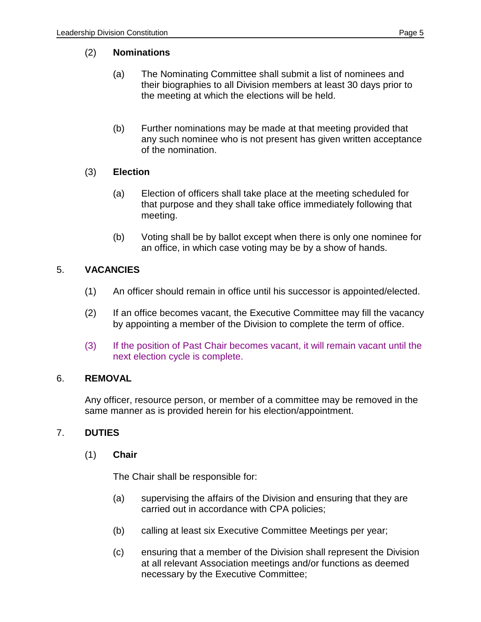### (2) **Nominations**

- (a) The Nominating Committee shall submit a list of nominees and their biographies to all Division members at least 30 days prior to the meeting at which the elections will be held.
- (b) Further nominations may be made at that meeting provided that any such nominee who is not present has given written acceptance of the nomination.

## (3) **Election**

- (a) Election of officers shall take place at the meeting scheduled for that purpose and they shall take office immediately following that meeting.
- (b) Voting shall be by ballot except when there is only one nominee for an office, in which case voting may be by a show of hands.

## 5. **VACANCIES**

- (1) An officer should remain in office until his successor is appointed/elected.
- (2) If an office becomes vacant, the Executive Committee may fill the vacancy by appointing a member of the Division to complete the term of office.
- (3) If the position of Past Chair becomes vacant, it will remain vacant until the next election cycle is complete.

#### 6. **REMOVAL**

Any officer, resource person, or member of a committee may be removed in the same manner as is provided herein for his election/appointment.

## 7. **DUTIES**

(1) **Chair**

The Chair shall be responsible for:

- (a) supervising the affairs of the Division and ensuring that they are carried out in accordance with CPA policies;
- (b) calling at least six Executive Committee Meetings per year;
- (c) ensuring that a member of the Division shall represent the Division at all relevant Association meetings and/or functions as deemed necessary by the Executive Committee;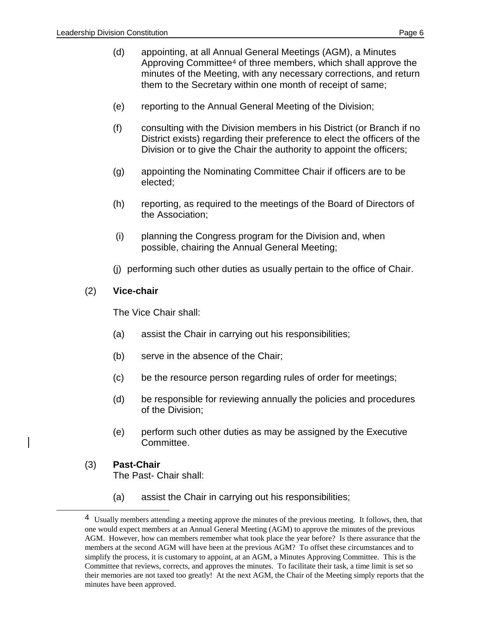- (d) appointing, at all Annual General Meetings (AGM), a Minutes Approving Committee[4](#page-7-0) of three members, which shall approve the minutes of the Meeting, with any necessary corrections, and return them to the Secretary within one month of receipt of same;
- (e) reporting to the Annual General Meeting of the Division;
- (f) consulting with the Division members in his District (or Branch if no District exists) regarding their preference to elect the officers of the Division or to give the Chair the authority to appoint the officers;
- (g) appointing the Nominating Committee Chair if officers are to be elected;
- (h) reporting, as required to the meetings of the Board of Directors of the Association;
- (i) planning the Congress program for the Division and, when possible, chairing the Annual General Meeting;
- (j) performing such other duties as usually pertain to the office of Chair.

#### (2) **Vice-chair**

The Vice Chair shall:

- (a) assist the Chair in carrying out his responsibilities;
- (b) serve in the absence of the Chair;
- (c) be the resource person regarding rules of order for meetings;
- (d) be responsible for reviewing annually the policies and procedures of the Division;
- (e) perform such other duties as may be assigned by the Executive Committee.
- (3) **Past-Chair** The Past- Chair shall:

<span id="page-7-0"></span>-

(a) assist the Chair in carrying out his responsibilities;

<sup>4</sup> Usually members attending a meeting approve the minutes of the previous meeting. It follows, then, that one would expect members at an Annual General Meeting (AGM) to approve the minutes of the previous AGM. However, how can members remember what took place the year before? Is there assurance that the members at the second AGM will have been at the previous AGM? To offset these circumstances and to simplify the process, it is customary to appoint, at an AGM, a Minutes Approving Committee. This is the Committee that reviews, corrects, and approves the minutes. To facilitate their task, a time limit is set so their memories are not taxed too greatly! At the next AGM, the Chair of the Meeting simply reports that the minutes have been approved.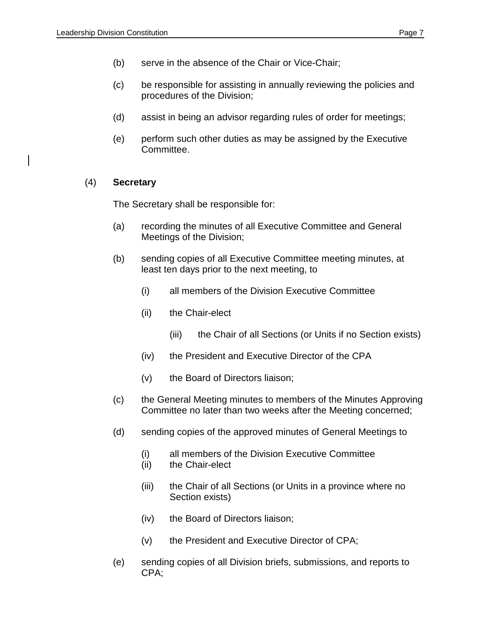- (b) serve in the absence of the Chair or Vice-Chair;
- (c) be responsible for assisting in annually reviewing the policies and procedures of the Division;
- (d) assist in being an advisor regarding rules of order for meetings;
- (e) perform such other duties as may be assigned by the Executive Committee.

#### (4) **Secretary**

The Secretary shall be responsible for:

- (a) recording the minutes of all Executive Committee and General Meetings of the Division;
- (b) sending copies of all Executive Committee meeting minutes, at least ten days prior to the next meeting, to
	- (i) all members of the Division Executive Committee
	- (ii) the Chair-elect
		- (iii) the Chair of all Sections (or Units if no Section exists)
	- (iv) the President and Executive Director of the CPA
	- (v) the Board of Directors liaison;
- (c) the General Meeting minutes to members of the Minutes Approving Committee no later than two weeks after the Meeting concerned;
- (d) sending copies of the approved minutes of General Meetings to
	- (i) all members of the Division Executive Committee
	- (ii) the Chair-elect
	- (iii) the Chair of all Sections (or Units in a province where no Section exists)
	- (iv) the Board of Directors liaison;
	- (v) the President and Executive Director of CPA;
- (e) sending copies of all Division briefs, submissions, and reports to CPA;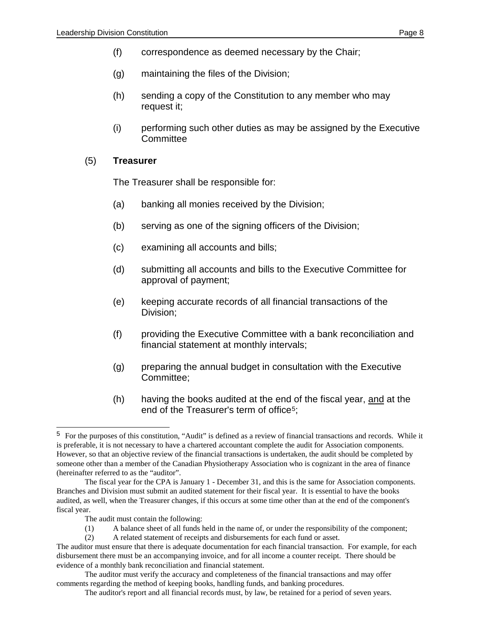- (f) correspondence as deemed necessary by the Chair;
- (g) maintaining the files of the Division;
- (h) sending a copy of the Constitution to any member who may request it;
- (i) performing such other duties as may be assigned by the Executive **Committee**

#### (5) **Treasurer**

The Treasurer shall be responsible for:

- (a) banking all monies received by the Division;
- (b) serving as one of the signing officers of the Division;
- (c) examining all accounts and bills;
- (d) submitting all accounts and bills to the Executive Committee for approval of payment;
- (e) keeping accurate records of all financial transactions of the Division;
- (f) providing the Executive Committee with a bank reconciliation and financial statement at monthly intervals;
- (g) preparing the annual budget in consultation with the Executive Committee;
- (h) having the books audited at the end of the fiscal year, and at the end of the Treasurer's term of office<sup>[5](#page-9-0)</sup>;

The audit must contain the following:

j

(1) A balance sheet of all funds held in the name of, or under the responsibility of the component;

(2) A related statement of receipts and disbursements for each fund or asset.

<span id="page-9-0"></span><sup>5</sup> For the purposes of this constitution, "Audit" is defined as a review of financial transactions and records. While it is preferable, it is not necessary to have a chartered accountant complete the audit for Association components. However, so that an objective review of the financial transactions is undertaken, the audit should be completed by someone other than a member of the Canadian Physiotherapy Association who is cognizant in the area of finance (hereinafter referred to as the "auditor".

The fiscal year for the CPA is January 1 - December 31, and this is the same for Association components. Branches and Division must submit an audited statement for their fiscal year. It is essential to have the books audited, as well, when the Treasurer changes, if this occurs at some time other than at the end of the component's fiscal year.

The auditor must ensure that there is adequate documentation for each financial transaction. For example, for each disbursement there must be an accompanying invoice, and for all income a counter receipt. There should be evidence of a monthly bank reconciliation and financial statement.

The auditor must verify the accuracy and completeness of the financial transactions and may offer comments regarding the method of keeping books, handling funds, and banking procedures.

The auditor's report and all financial records must, by law, be retained for a period of seven years.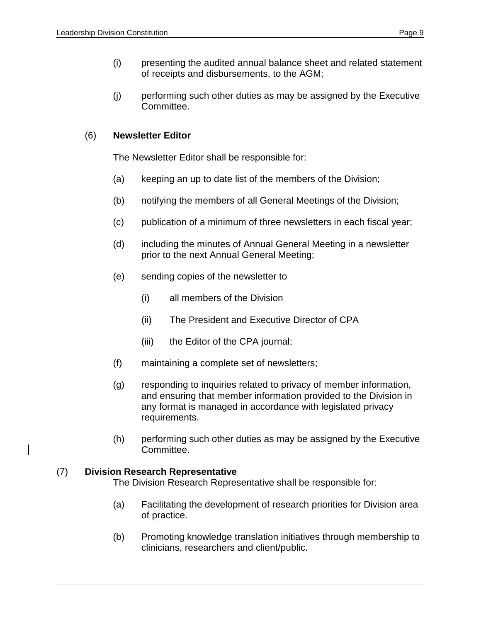(j) performing such other duties as may be assigned by the Executive Committee.

## (6) **Newsletter Editor**

The Newsletter Editor shall be responsible for:

- (a) keeping an up to date list of the members of the Division;
- (b) notifying the members of all General Meetings of the Division;
- (c) publication of a minimum of three newsletters in each fiscal year;
- (d) including the minutes of Annual General Meeting in a newsletter prior to the next Annual General Meeting;
- (e) sending copies of the newsletter to
	- (i) all members of the Division
	- (ii) The President and Executive Director of CPA
	- (iii) the Editor of the CPA journal;
- (f) maintaining a complete set of newsletters;
- (g) responding to inquiries related to privacy of member information, and ensuring that member information provided to the Division in any format is managed in accordance with legislated privacy requirements.
- (h) performing such other duties as may be assigned by the Executive Committee.

#### (7) **Division Research Representative**

l

The Division Research Representative shall be responsible for:

- (a) Facilitating the development of research priorities for Division area of practice.
- (b) Promoting knowledge translation initiatives through membership to clinicians, researchers and client/public.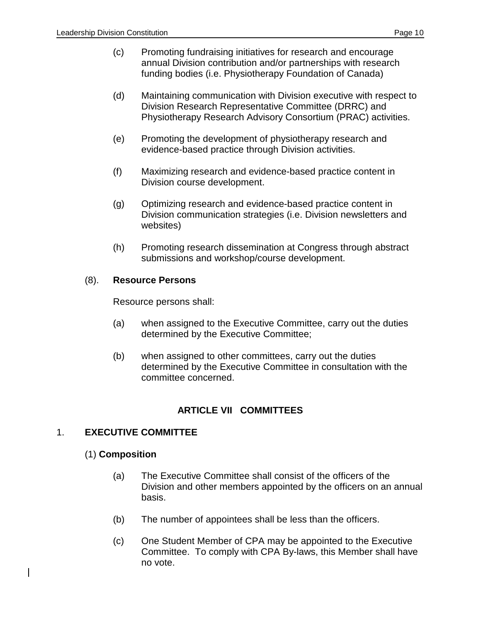- (c) Promoting fundraising initiatives for research and encourage annual Division contribution and/or partnerships with research funding bodies (i.e. Physiotherapy Foundation of Canada)
- (d) Maintaining communication with Division executive with respect to Division Research Representative Committee (DRRC) and Physiotherapy Research Advisory Consortium (PRAC) activities.
- (e) Promoting the development of physiotherapy research and evidence-based practice through Division activities.
- (f) Maximizing research and evidence-based practice content in Division course development.
- (g) Optimizing research and evidence-based practice content in Division communication strategies (i.e. Division newsletters and websites)
- (h) Promoting research dissemination at Congress through abstract submissions and workshop/course development.

#### (8). **Resource Persons**

Resource persons shall:

- (a) when assigned to the Executive Committee, carry out the duties determined by the Executive Committee;
- (b) when assigned to other committees, carry out the duties determined by the Executive Committee in consultation with the committee concerned.

## **ARTICLE VII COMMITTEES**

#### 1. **EXECUTIVE COMMITTEE**

#### (1) **Composition**

- (a) The Executive Committee shall consist of the officers of the Division and other members appointed by the officers on an annual basis.
- (b) The number of appointees shall be less than the officers.
- (c) One Student Member of CPA may be appointed to the Executive Committee. To comply with CPA By-laws, this Member shall have no vote.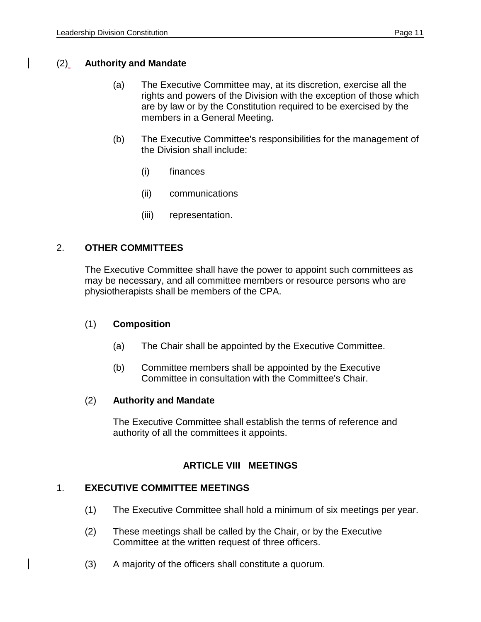#### (2) **Authority and Mandate**

- (a) The Executive Committee may, at its discretion, exercise all the rights and powers of the Division with the exception of those which are by law or by the Constitution required to be exercised by the members in a General Meeting.
- (b) The Executive Committee's responsibilities for the management of the Division shall include:
	- (i) finances
	- (ii) communications
	- (iii) representation.

#### 2. **OTHER COMMITTEES**

The Executive Committee shall have the power to appoint such committees as may be necessary, and all committee members or resource persons who are physiotherapists shall be members of the CPA.

#### (1) **Composition**

- (a) The Chair shall be appointed by the Executive Committee.
- (b) Committee members shall be appointed by the Executive Committee in consultation with the Committee's Chair.

#### (2) **Authority and Mandate**

The Executive Committee shall establish the terms of reference and authority of all the committees it appoints.

#### **ARTICLE VIII MEETINGS**

#### 1. **EXECUTIVE COMMITTEE MEETINGS**

- (1) The Executive Committee shall hold a minimum of six meetings per year.
- (2) These meetings shall be called by the Chair, or by the Executive Committee at the written request of three officers.
- (3) A majority of the officers shall constitute a quorum.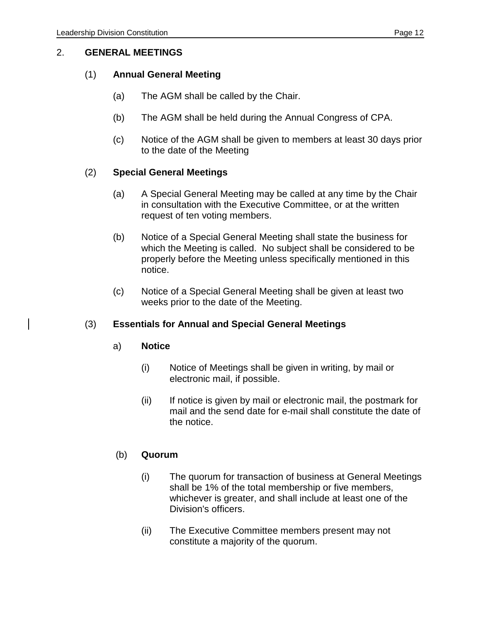#### 2. **GENERAL MEETINGS**

#### (1) **Annual General Meeting**

- (a) The AGM shall be called by the Chair.
- (b) The AGM shall be held during the Annual Congress of CPA.
- (c) Notice of the AGM shall be given to members at least 30 days prior to the date of the Meeting

#### (2) **Special General Meetings**

- (a) A Special General Meeting may be called at any time by the Chair in consultation with the Executive Committee, or at the written request of ten voting members.
- (b) Notice of a Special General Meeting shall state the business for which the Meeting is called. No subject shall be considered to be properly before the Meeting unless specifically mentioned in this notice.
- (c) Notice of a Special General Meeting shall be given at least two weeks prior to the date of the Meeting.

#### (3) **Essentials for Annual and Special General Meetings**

#### a) **Notice**

- (i) Notice of Meetings shall be given in writing, by mail or electronic mail, if possible.
- (ii) If notice is given by mail or electronic mail, the postmark for mail and the send date for e-mail shall constitute the date of the notice.

#### (b) **Quorum**

- (i) The quorum for transaction of business at General Meetings shall be 1% of the total membership or five members, whichever is greater, and shall include at least one of the Division's officers.
- (ii) The Executive Committee members present may not constitute a majority of the quorum.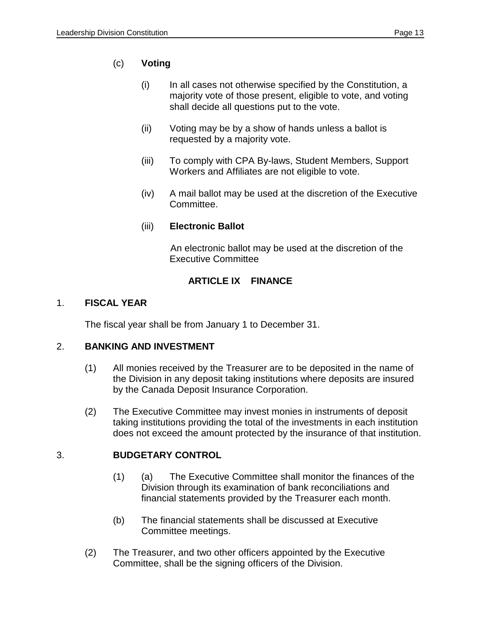## (c) **Voting**

- (i) In all cases not otherwise specified by the Constitution, a majority vote of those present, eligible to vote, and voting shall decide all questions put to the vote.
- (ii) Voting may be by a show of hands unless a ballot is requested by a majority vote.
- (iii) To comply with CPA By-laws, Student Members, Support Workers and Affiliates are not eligible to vote.
- (iv) A mail ballot may be used at the discretion of the Executive Committee.

#### (iii) **Electronic Ballot**

An electronic ballot may be used at the discretion of the Executive Committee

## **ARTICLE IX FINANCE**

#### 1. **FISCAL YEAR**

The fiscal year shall be from January 1 to December 31.

#### 2. **BANKING AND INVESTMENT**

- (1) All monies received by the Treasurer are to be deposited in the name of the Division in any deposit taking institutions where deposits are insured by the Canada Deposit Insurance Corporation.
- (2) The Executive Committee may invest monies in instruments of deposit taking institutions providing the total of the investments in each institution does not exceed the amount protected by the insurance of that institution.

#### 3. **BUDGETARY CONTROL**

- (1) (a) The Executive Committee shall monitor the finances of the Division through its examination of bank reconciliations and financial statements provided by the Treasurer each month.
- (b) The financial statements shall be discussed at Executive Committee meetings.
- (2) The Treasurer, and two other officers appointed by the Executive Committee, shall be the signing officers of the Division.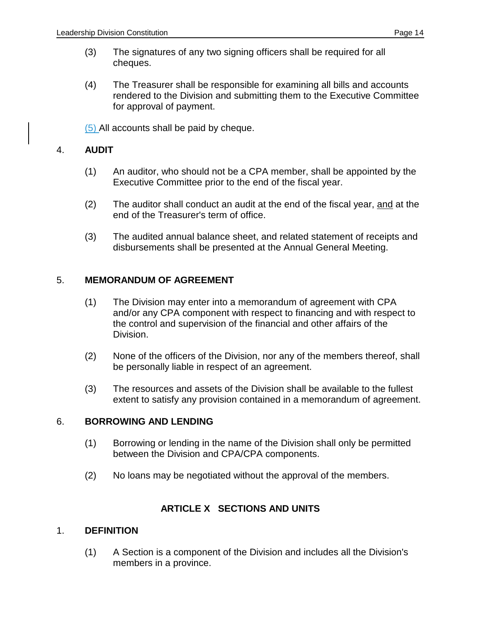- (3) The signatures of any two signing officers shall be required for all cheques.
- (4) The Treasurer shall be responsible for examining all bills and accounts rendered to the Division and submitting them to the Executive Committee for approval of payment.

(5) All accounts shall be paid by cheque.

#### 4. **AUDIT**

- (1) An auditor, who should not be a CPA member, shall be appointed by the Executive Committee prior to the end of the fiscal year.
- (2) The auditor shall conduct an audit at the end of the fiscal year, and at the end of the Treasurer's term of office.
- (3) The audited annual balance sheet, and related statement of receipts and disbursements shall be presented at the Annual General Meeting.

#### 5. **MEMORANDUM OF AGREEMENT**

- (1) The Division may enter into a memorandum of agreement with CPA and/or any CPA component with respect to financing and with respect to the control and supervision of the financial and other affairs of the Division.
- (2) None of the officers of the Division, nor any of the members thereof, shall be personally liable in respect of an agreement.
- (3) The resources and assets of the Division shall be available to the fullest extent to satisfy any provision contained in a memorandum of agreement.

#### 6. **BORROWING AND LENDING**

- (1) Borrowing or lending in the name of the Division shall only be permitted between the Division and CPA/CPA components.
- (2) No loans may be negotiated without the approval of the members.

#### **ARTICLE X SECTIONS AND UNITS**

#### 1. **DEFINITION**

(1) A Section is a component of the Division and includes all the Division's members in a province.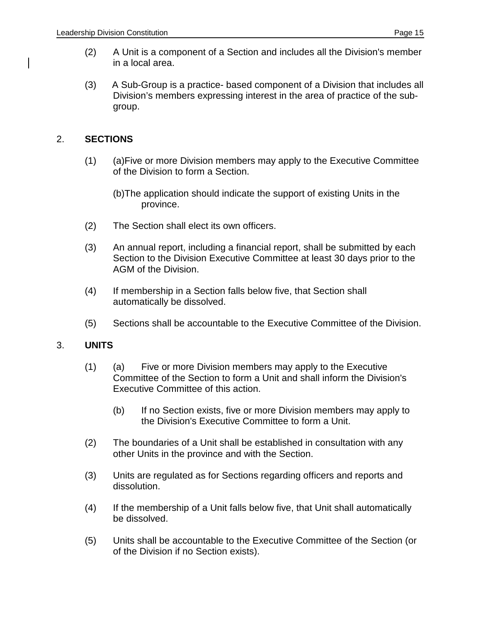- (2) A Unit is a component of a Section and includes all the Division's member in a local area.
- (3) A Sub-Group is a practice- based component of a Division that includes all Division's members expressing interest in the area of practice of the subgroup.

## 2. **SECTIONS**

- (1) (a)Five or more Division members may apply to the Executive Committee of the Division to form a Section.
	- (b)The application should indicate the support of existing Units in the province.
- (2) The Section shall elect its own officers.
- (3) An annual report, including a financial report, shall be submitted by each Section to the Division Executive Committee at least 30 days prior to the AGM of the Division.
- (4) If membership in a Section falls below five, that Section shall automatically be dissolved.
- (5) Sections shall be accountable to the Executive Committee of the Division.

#### 3. **UNITS**

- (1) (a) Five or more Division members may apply to the Executive Committee of the Section to form a Unit and shall inform the Division's Executive Committee of this action.
	- (b) If no Section exists, five or more Division members may apply to the Division's Executive Committee to form a Unit.
- (2) The boundaries of a Unit shall be established in consultation with any other Units in the province and with the Section.
- (3) Units are regulated as for Sections regarding officers and reports and dissolution.
- (4) If the membership of a Unit falls below five, that Unit shall automatically be dissolved.
- (5) Units shall be accountable to the Executive Committee of the Section (or of the Division if no Section exists).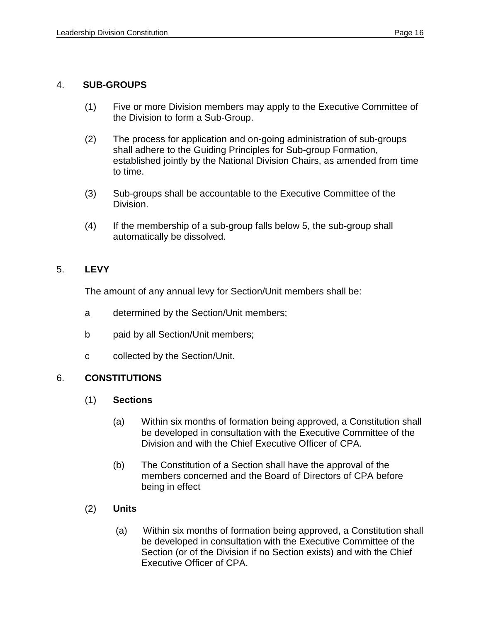#### 4. **SUB-GROUPS**

- (1) Five or more Division members may apply to the Executive Committee of the Division to form a Sub-Group.
- (2) The process for application and on-going administration of sub-groups shall adhere to the Guiding Principles for Sub-group Formation, established jointly by the National Division Chairs, as amended from time to time.
- (3) Sub-groups shall be accountable to the Executive Committee of the Division.
- (4) If the membership of a sub-group falls below 5, the sub-group shall automatically be dissolved.

#### 5. **LEVY**

The amount of any annual levy for Section/Unit members shall be:

- a determined by the Section/Unit members;
- b paid by all Section/Unit members;
- c collected by the Section/Unit.

#### 6. **CONSTITUTIONS**

#### (1) **Sections**

- (a) Within six months of formation being approved, a Constitution shall be developed in consultation with the Executive Committee of the Division and with the Chief Executive Officer of CPA.
- (b) The Constitution of a Section shall have the approval of the members concerned and the Board of Directors of CPA before being in effect
- (2) **Units**
	- (a) Within six months of formation being approved, a Constitution shall be developed in consultation with the Executive Committee of the Section (or of the Division if no Section exists) and with the Chief Executive Officer of CPA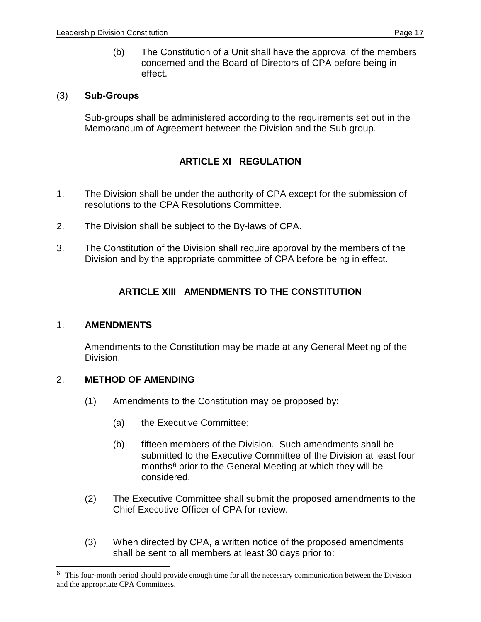(b) The Constitution of a Unit shall have the approval of the members concerned and the Board of Directors of CPA before being in effect.

#### (3) **Sub-Groups**

Sub-groups shall be administered according to the requirements set out in the Memorandum of Agreement between the Division and the Sub-group.

## **ARTICLE XI REGULATION**

- 1. The Division shall be under the authority of CPA except for the submission of resolutions to the CPA Resolutions Committee.
- 2. The Division shall be subject to the By-laws of CPA.
- 3. The Constitution of the Division shall require approval by the members of the Division and by the appropriate committee of CPA before being in effect.

## **ARTICLE XIII AMENDMENTS TO THE CONSTITUTION**

#### 1. **AMENDMENTS**

-

Amendments to the Constitution may be made at any General Meeting of the Division.

#### 2. **METHOD OF AMENDING**

- (1) Amendments to the Constitution may be proposed by:
	- (a) the Executive Committee;
	- (b) fifteen members of the Division. Such amendments shall be submitted to the Executive Committee of the Division at least four months<sup>[6](#page-18-0)</sup> prior to the General Meeting at which they will be considered.
- (2) The Executive Committee shall submit the proposed amendments to the Chief Executive Officer of CPA for review.
- (3) When directed by CPA, a written notice of the proposed amendments shall be sent to all members at least 30 days prior to:

<span id="page-18-0"></span><sup>6</sup> This four-month period should provide enough time for all the necessary communication between the Division and the appropriate CPA Committees.